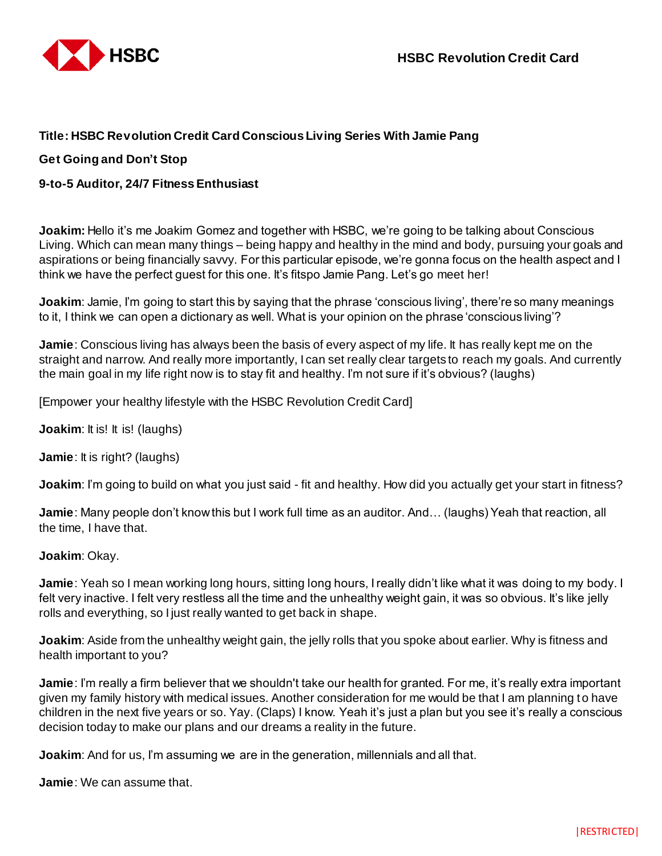

## **Title: HSBC Revolution Credit Card Conscious Living Series With Jamie Pang**

## **Get Going and Don't Stop**

## **9-to-5 Auditor, 24/7 Fitness Enthusiast**

**Joakim:** Hello it's me Joakim Gomez and together with HSBC, we're going to be talking about Conscious Living. Which can mean many things – being happy and healthy in the mind and body, pursuing your goals and aspirations or being financially savvy. For this particular episode, we're gonna focus on the health aspect and I think we have the perfect guest for this one. It's fitspo Jamie Pang. Let's go meet her!

**Joakim**: Jamie, I'm going to start this by saying that the phrase 'conscious living', there're so many meanings to it, I think we can open a dictionary as well. What is your opinion on the phrase 'conscious living'?

**Jamie**: Conscious living has always been the basis of every aspect of my life. It has really kept me on the straight and narrow. And really more importantly, I can set really clear targets to reach my goals. And currently the main goal in my life right now is to stay fit and healthy. I'm not sure if it's obvious? (laughs)

[Empower your healthy lifestyle with the HSBC Revolution Credit Card]

**Joakim:** It is! It is! (laughs)

**Jamie**: It is right? (laughs)

**Joakim**: I'm going to build on what you just said - fit and healthy. How did you actually get your start in fitness?

**Jamie**: Many people don't know this but I work full time as an auditor. And… (laughs) Yeah that reaction, all the time, I have that.

**Joakim**: Okay.

**Jamie**: Yeah so I mean working long hours, sitting long hours, I really didn't like what it was doing to my body. I felt very inactive. I felt very restless all the time and the unhealthy weight gain, it was so obvious. It's like jelly rolls and everything, so I just really wanted to get back in shape.

**Joakim**: Aside from the unhealthy weight gain, the jelly rolls that you spoke about earlier. Why is fitness and health important to you?

**Jamie**: I'm really a firm believer that we shouldn't take our health for granted. For me, it's really extra important given my family history with medical issues. Another consideration for me would be that I am planning to have children in the next five years or so. Yay. (Claps) I know. Yeah it's just a plan but you see it's really a conscious decision today to make our plans and our dreams a reality in the future.

**Joakim:** And for us, I'm assuming we are in the generation, millennials and all that.

**Jamie**: We can assume that.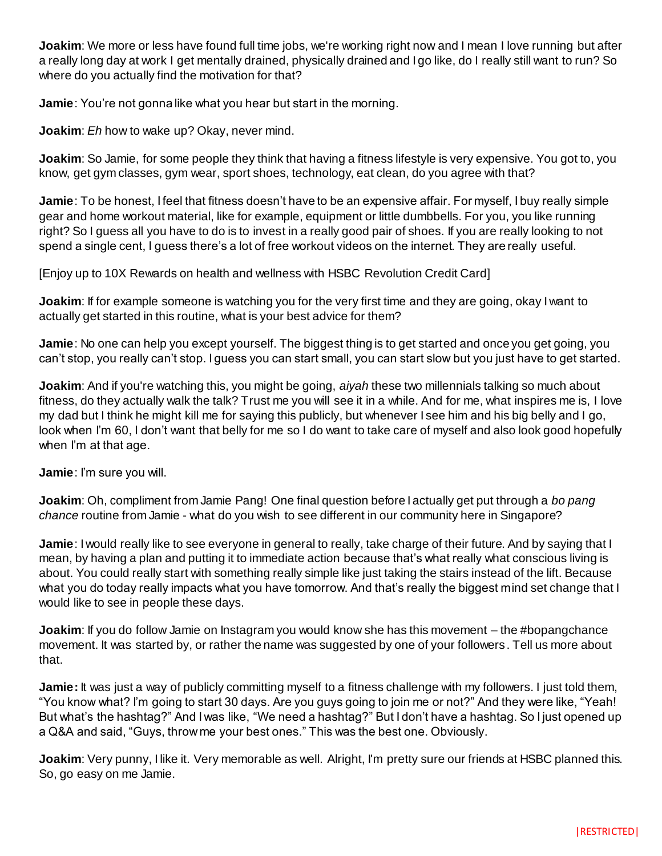**Joakim**: We more or less have found full time jobs, we're working right now and I mean I love running but after a really long day at work I get mentally drained, physically drained and I go like, do I really still want to run? So where do you actually find the motivation for that?

**Jamie**: You're not gonna like what you hear but start in the morning.

**Joakim**: *Eh* how to wake up? Okay, never mind.

**Joakim**: So Jamie, for some people they think that having a fitness lifestyle is very expensive. You got to, you know, get gym classes, gym wear, sport shoes, technology, eat clean, do you agree with that?

**Jamie**: To be honest, I feel that fitness doesn't have to be an expensive affair. For myself, I buy really simple gear and home workout material, like for example, equipment or little dumbbells. For you, you like running right? So I guess all you have to do is to invest in a really good pair of shoes. If you are really looking to not spend a single cent, I guess there's a lot of free workout videos on the internet. They are really useful.

[Enjoy up to 10X Rewards on health and wellness with HSBC Revolution Credit Card]

**Joakim**: If for example someone is watching you for the very first time and they are going, okay I want to actually get started in this routine, what is your best advice for them?

**Jamie**: No one can help you except yourself. The biggest thing is to get started and once you get going, you can't stop, you really can't stop. I guess you can start small, you can start slow but you just have to get started.

**Joakim**: And if you're watching this, you might be going, *aiyah* these two millennials talking so much about fitness, do they actually walk the talk? Trust me you will see it in a while. And for me, what inspires me is, I love my dad but I think he might kill me for saying this publicly, but whenever I see him and his big belly and I go, look when I'm 60, I don't want that belly for me so I do want to take care of myself and also look good hopefully when I'm at that age.

**Jamie**: I'm sure you will.

**Joakim**: Oh, compliment from Jamie Pang! One final question before I actually get put through a *bo pang chance* routine from Jamie - what do you wish to see different in our community here in Singapore?

**Jamie**: I would really like to see everyone in general to really, take charge of their future. And by saying that I mean, by having a plan and putting it to immediate action because that's what really what conscious living is about. You could really start with something really simple like just taking the stairs instead of the lift. Because what you do today really impacts what you have tomorrow. And that's really the biggest mind set change that I would like to see in people these days.

**Joakim**: If you do follow Jamie on Instagram you would know she has this movement – the #bopangchance movement. It was started by, or rather the name was suggested by one of your followers. Tell us more about that.

**Jamie:** It was just a way of publicly committing myself to a fitness challenge with my followers. I just told them, "You know what? I'm going to start 30 days. Are you guys going to join me or not?" And they were like, "Yeah! But what's the hashtag?" And I was like, "We need a hashtag?" But I don't have a hashtag. So I just opened up a Q&A and said, "Guys, throw me your best ones." This was the best one. Obviously.

**Joakim**: Very punny, I like it. Very memorable as well. Alright, I'm pretty sure our friends at HSBC planned this. So, go easy on me Jamie.